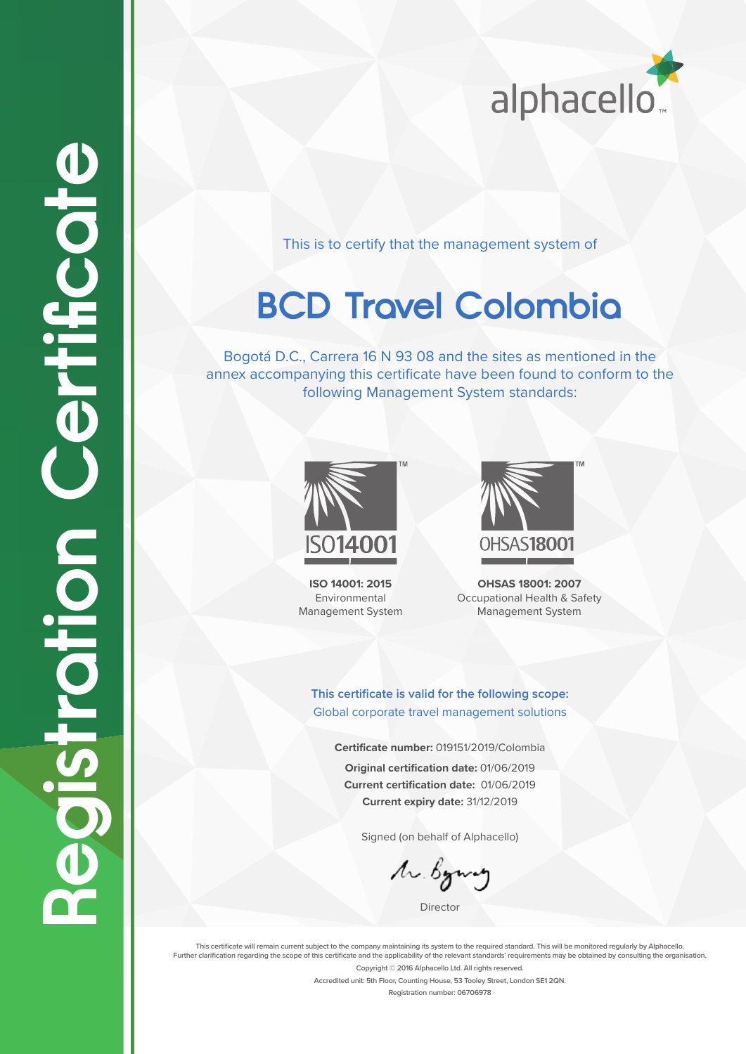

This is to certify that the management system of

## **BCD Travel Colombia**

Bogotá D.C., Carrera 16 N 93 08 and the sites as mentioned in the annex accompanying this certificate have been found to conform to the following Management System standards:



**ISO 14001: 2015** Environmental Management System



**OHSAS 18001: 2007** Occupational Health & Safety Management System

**This certificate is valid for the following scope:**  Global corporate travel management solutions

**Certificate number:** 019151/2019/Colombia **Original certification date:** 01/06/2019 **Current certification date:** 01/06/2019 **Current expiry date:** 31/12/2019

Signed (on behalf of Alphacello)

Mr. Byway

Director

**This certificate will remain current subject to the company maintaining its system to the required standard. This will be monitored regularly by Alphacello. Further clarification regarding the scope of this certificate and the applicability of the relevant standards' requirements may be obtained by consulting the organisation. Copyright © 2016 Alphacello Ltd. All rights reserved.** 

**Accredited unit: 5th Floor, Counting House, 53 Tooley Street, London SE1 2QN.** 

**Registration number: 06706978**